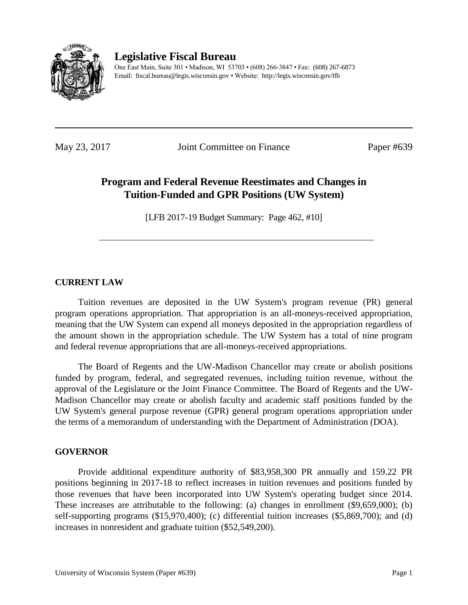

# **Legislative Fiscal Bureau**

One East Main, Suite 301 • Madison, WI 53703 • (608) 266-3847 • Fax: (608) 267-6873 Email: fiscal.bureau@legis.wisconsin.gov • Website:<http://legis.wisconsin.gov/lfb>

May 23, 2017 Joint Committee on Finance Paper #639

# **Program and Federal Revenue Reestimates and Changes in Tuition-Funded and GPR Positions (UW System)**

[LFB 2017-19 Budget Summary: Page 462, #10]

## **CURRENT LAW**

Tuition revenues are deposited in the UW System's program revenue (PR) general program operations appropriation. That appropriation is an all-moneys-received appropriation, meaning that the UW System can expend all moneys deposited in the appropriation regardless of the amount shown in the appropriation schedule. The UW System has a total of nine program and federal revenue appropriations that are all-moneys-received appropriations.

The Board of Regents and the UW-Madison Chancellor may create or abolish positions funded by program, federal, and segregated revenues, including tuition revenue, without the approval of the Legislature or the Joint Finance Committee. The Board of Regents and the UW-Madison Chancellor may create or abolish faculty and academic staff positions funded by the UW System's general purpose revenue (GPR) general program operations appropriation under the terms of a memorandum of understanding with the Department of Administration (DOA).

## **GOVERNOR**

Provide additional expenditure authority of \$83,958,300 PR annually and 159.22 PR positions beginning in 2017-18 to reflect increases in tuition revenues and positions funded by those revenues that have been incorporated into UW System's operating budget since 2014. These increases are attributable to the following: (a) changes in enrollment (\$9,659,000); (b) self-supporting programs (\$15,970,400); (c) differential tuition increases (\$5,869,700); and (d) increases in nonresident and graduate tuition (\$52,549,200).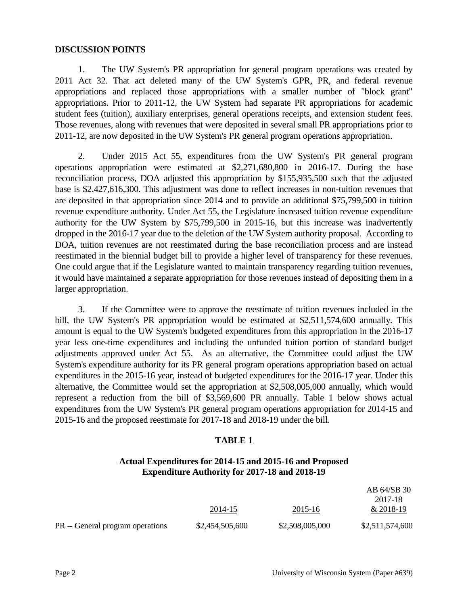#### **DISCUSSION POINTS**

1. The UW System's PR appropriation for general program operations was created by 2011 Act 32. That act deleted many of the UW System's GPR, PR, and federal revenue appropriations and replaced those appropriations with a smaller number of "block grant" appropriations. Prior to 2011-12, the UW System had separate PR appropriations for academic student fees (tuition), auxiliary enterprises, general operations receipts, and extension student fees. Those revenues, along with revenues that were deposited in several small PR appropriations prior to 2011-12, are now deposited in the UW System's PR general program operations appropriation.

2. Under 2015 Act 55, expenditures from the UW System's PR general program operations appropriation were estimated at \$2,271,680,800 in 2016-17. During the base reconciliation process, DOA adjusted this appropriation by \$155,935,500 such that the adjusted base is \$2,427,616,300. This adjustment was done to reflect increases in non-tuition revenues that are deposited in that appropriation since 2014 and to provide an additional \$75,799,500 in tuition revenue expenditure authority. Under Act 55, the Legislature increased tuition revenue expenditure authority for the UW System by \$75,799,500 in 2015-16, but this increase was inadvertently dropped in the 2016-17 year due to the deletion of the UW System authority proposal. According to DOA, tuition revenues are not reestimated during the base reconciliation process and are instead reestimated in the biennial budget bill to provide a higher level of transparency for these revenues. One could argue that if the Legislature wanted to maintain transparency regarding tuition revenues, it would have maintained a separate appropriation for those revenues instead of depositing them in a larger appropriation.

3. If the Committee were to approve the reestimate of tuition revenues included in the bill, the UW System's PR appropriation would be estimated at \$2,511,574,600 annually. This amount is equal to the UW System's budgeted expenditures from this appropriation in the 2016-17 year less one-time expenditures and including the unfunded tuition portion of standard budget adjustments approved under Act 55. As an alternative, the Committee could adjust the UW System's expenditure authority for its PR general program operations appropriation based on actual expenditures in the 2015-16 year, instead of budgeted expenditures for the 2016-17 year. Under this alternative, the Committee would set the appropriation at \$2,508,005,000 annually, which would represent a reduction from the bill of \$3,569,600 PR annually. Table 1 below shows actual expenditures from the UW System's PR general program operations appropriation for 2014-15 and 2015-16 and the proposed reestimate for 2017-18 and 2018-19 under the bill.

#### **TABLE 1**

## **Actual Expenditures for 2014-15 and 2015-16 and Proposed Expenditure Authority for 2017-18 and 2018-19**

|                                  |                 |                 | AB 64/SB 30     |
|----------------------------------|-----------------|-----------------|-----------------|
|                                  |                 |                 | 2017-18         |
|                                  | 2014-15         | 2015-16         | $& 2018-19$     |
| PR -- General program operations | \$2,454,505,600 | \$2,508,005,000 | \$2,511,574,600 |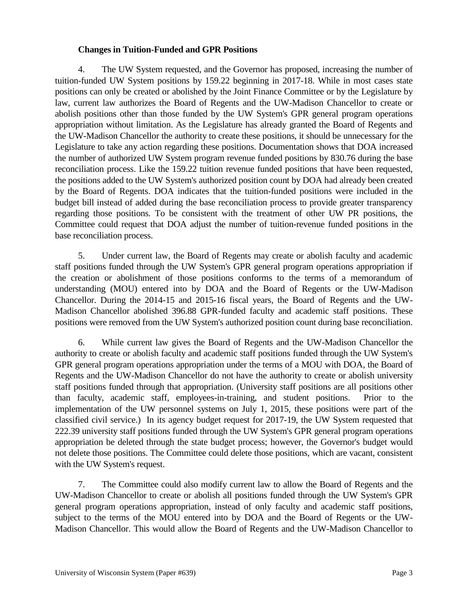## **Changes in Tuition-Funded and GPR Positions**

4. The UW System requested, and the Governor has proposed, increasing the number of tuition-funded UW System positions by 159.22 beginning in 2017-18. While in most cases state positions can only be created or abolished by the Joint Finance Committee or by the Legislature by law, current law authorizes the Board of Regents and the UW-Madison Chancellor to create or abolish positions other than those funded by the UW System's GPR general program operations appropriation without limitation. As the Legislature has already granted the Board of Regents and the UW-Madison Chancellor the authority to create these positions, it should be unnecessary for the Legislature to take any action regarding these positions. Documentation shows that DOA increased the number of authorized UW System program revenue funded positions by 830.76 during the base reconciliation process. Like the 159.22 tuition revenue funded positions that have been requested, the positions added to the UW System's authorized position count by DOA had already been created by the Board of Regents. DOA indicates that the tuition-funded positions were included in the budget bill instead of added during the base reconciliation process to provide greater transparency regarding those positions. To be consistent with the treatment of other UW PR positions, the Committee could request that DOA adjust the number of tuition-revenue funded positions in the base reconciliation process.

5. Under current law, the Board of Regents may create or abolish faculty and academic staff positions funded through the UW System's GPR general program operations appropriation if the creation or abolishment of those positions conforms to the terms of a memorandum of understanding (MOU) entered into by DOA and the Board of Regents or the UW-Madison Chancellor. During the 2014-15 and 2015-16 fiscal years, the Board of Regents and the UW-Madison Chancellor abolished 396.88 GPR-funded faculty and academic staff positions. These positions were removed from the UW System's authorized position count during base reconciliation.

6. While current law gives the Board of Regents and the UW-Madison Chancellor the authority to create or abolish faculty and academic staff positions funded through the UW System's GPR general program operations appropriation under the terms of a MOU with DOA, the Board of Regents and the UW-Madison Chancellor do not have the authority to create or abolish university staff positions funded through that appropriation. (University staff positions are all positions other than faculty, academic staff, employees-in-training, and student positions. Prior to the implementation of the UW personnel systems on July 1, 2015, these positions were part of the classified civil service.) In its agency budget request for 2017-19, the UW System requested that 222.39 university staff positions funded through the UW System's GPR general program operations appropriation be deleted through the state budget process; however, the Governor's budget would not delete those positions. The Committee could delete those positions, which are vacant, consistent with the UW System's request.

7. The Committee could also modify current law to allow the Board of Regents and the UW-Madison Chancellor to create or abolish all positions funded through the UW System's GPR general program operations appropriation, instead of only faculty and academic staff positions, subject to the terms of the MOU entered into by DOA and the Board of Regents or the UW-Madison Chancellor. This would allow the Board of Regents and the UW-Madison Chancellor to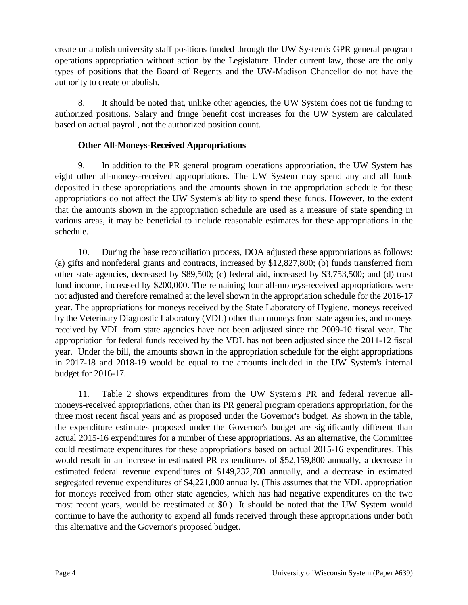create or abolish university staff positions funded through the UW System's GPR general program operations appropriation without action by the Legislature. Under current law, those are the only types of positions that the Board of Regents and the UW-Madison Chancellor do not have the authority to create or abolish.

8. It should be noted that, unlike other agencies, the UW System does not tie funding to authorized positions. Salary and fringe benefit cost increases for the UW System are calculated based on actual payroll, not the authorized position count.

## **Other All-Moneys-Received Appropriations**

9. In addition to the PR general program operations appropriation, the UW System has eight other all-moneys-received appropriations. The UW System may spend any and all funds deposited in these appropriations and the amounts shown in the appropriation schedule for these appropriations do not affect the UW System's ability to spend these funds. However, to the extent that the amounts shown in the appropriation schedule are used as a measure of state spending in various areas, it may be beneficial to include reasonable estimates for these appropriations in the schedule.

10. During the base reconciliation process, DOA adjusted these appropriations as follows: (a) gifts and nonfederal grants and contracts, increased by \$12,827,800; (b) funds transferred from other state agencies, decreased by \$89,500; (c) federal aid, increased by \$3,753,500; and (d) trust fund income, increased by \$200,000. The remaining four all-moneys-received appropriations were not adjusted and therefore remained at the level shown in the appropriation schedule for the 2016-17 year. The appropriations for moneys received by the State Laboratory of Hygiene, moneys received by the Veterinary Diagnostic Laboratory (VDL) other than moneys from state agencies, and moneys received by VDL from state agencies have not been adjusted since the 2009-10 fiscal year. The appropriation for federal funds received by the VDL has not been adjusted since the 2011-12 fiscal year. Under the bill, the amounts shown in the appropriation schedule for the eight appropriations in 2017-18 and 2018-19 would be equal to the amounts included in the UW System's internal budget for 2016-17.

11. Table 2 shows expenditures from the UW System's PR and federal revenue allmoneys-received appropriations, other than its PR general program operations appropriation, for the three most recent fiscal years and as proposed under the Governor's budget. As shown in the table, the expenditure estimates proposed under the Governor's budget are significantly different than actual 2015-16 expenditures for a number of these appropriations. As an alternative, the Committee could reestimate expenditures for these appropriations based on actual 2015-16 expenditures. This would result in an increase in estimated PR expenditures of \$52,159,800 annually, a decrease in estimated federal revenue expenditures of \$149,232,700 annually, and a decrease in estimated segregated revenue expenditures of \$4,221,800 annually. (This assumes that the VDL appropriation for moneys received from other state agencies, which has had negative expenditures on the two most recent years, would be reestimated at \$0.) It should be noted that the UW System would continue to have the authority to expend all funds received through these appropriations under both this alternative and the Governor's proposed budget.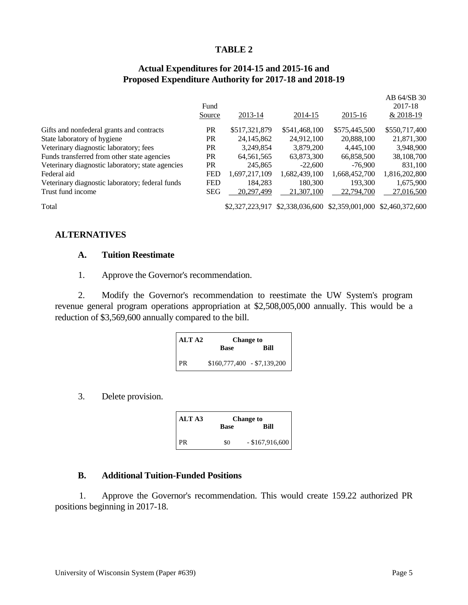#### **TABLE 2**

## **Actual Expenditures for 2014-15 and 2015-16 and Proposed Expenditure Authority for 2017-18 and 2018-19**

|            |               |               |                 | AB 64/SB 30                                     |
|------------|---------------|---------------|-----------------|-------------------------------------------------|
| Fund       |               |               |                 | 2017-18                                         |
| Source     | 2013-14       | 2014-15       | 2015-16         | & 2018-19                                       |
| <b>PR</b>  | \$517,321,879 | \$541,468,100 | \$575,445,500   | \$550,717,400                                   |
| <b>PR</b>  | 24, 145, 862  | 24,912,100    | 20,888,100      | 21,871,300                                      |
| <b>PR</b>  | 3,249,854     | 3,879,200     | 4.445.100       | 3,948,900                                       |
| <b>PR</b>  | 64,561,565    | 63,873,300    | 66,858,500      | 38,108,700                                      |
| PR         | 245,865       | $-22,600$     | $-76.900$       | 831.100                                         |
| <b>FED</b> | 1,697,217,109 | 1,682,439,100 | 1,668,452,700   | 1,816,202,800                                   |
| <b>FED</b> | 184.283       | 180.300       | 193.300         | 1,675,900                                       |
| <b>SEG</b> | 20,297,499    | 21,307,100    | 22,794,700      | 27,016,500                                      |
|            |               |               |                 |                                                 |
|            |               |               | \$2,327,223,917 | \$2,338,036,600 \$2,359,001,000 \$2,460,372,600 |

**ALTERNATIVES** 

#### **A. Tuition Reestimate**

#### 1. Approve the Governor's recommendation.

2. Modify the Governor's recommendation to reestimate the UW System's program revenue general program operations appropriation at \$2,508,005,000 annually. This would be a reduction of \$3,569,600 annually compared to the bill.

| <b>ALTA2</b> | <b>Change to</b>            |      |  |
|--------------|-----------------------------|------|--|
|              | <b>Base</b>                 | Bill |  |
| <b>PR</b>    | $$160,777,400 - $7,139,200$ |      |  |

### 3. Delete provision.

| ALTA3 | <b>Change to</b> |                   |
|-------|------------------|-------------------|
|       | <b>Base</b>      | Rill              |
| PR    | \$0              | $-$ \$167,916,600 |

#### **B. Additional Tuition-Funded Positions**

1. Approve the Governor's recommendation. This would create 159.22 authorized PR positions beginning in 2017-18.

 $AD 64/CD 30$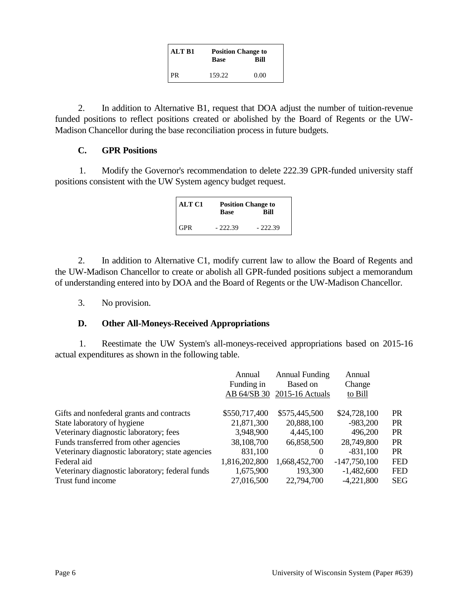| <b>ALT B1</b> | <b>Position Change to</b> |      |  |
|---------------|---------------------------|------|--|
|               | Base                      | Bill |  |
| l PR          | 159.22                    | 0.00 |  |

2. In addition to Alternative B1, request that DOA adjust the number of tuition-revenue funded positions to reflect positions created or abolished by the Board of Regents or the UW-Madison Chancellor during the base reconciliation process in future budgets.

## **C. GPR Positions**

1. Modify the Governor's recommendation to delete 222.39 GPR-funded university staff positions consistent with the UW System agency budget request.

| <b>ALT C1</b> | <b>Position Change to</b> |             |  |
|---------------|---------------------------|-------------|--|
|               | <b>Base</b>               | <b>Bill</b> |  |
| <b>GPR</b>    | $-222.39$                 | $-222.39$   |  |

2. In addition to Alternative C1, modify current law to allow the Board of Regents and the UW-Madison Chancellor to create or abolish all GPR-funded positions subject a memorandum of understanding entered into by DOA and the Board of Regents or the UW-Madison Chancellor.

3. No provision.

## **D. Other All-Moneys-Received Appropriations**

1. Reestimate the UW System's all-moneys-received appropriations based on 2015-16 actual expenditures as shown in the following table.

|                                                  | Annual<br>Funding in<br>AB 64/SB 30 | <b>Annual Funding</b><br><b>Based on</b><br>2015-16 Actuals | Annual<br>Change<br>to Bill |            |
|--------------------------------------------------|-------------------------------------|-------------------------------------------------------------|-----------------------------|------------|
| Gifts and nonfederal grants and contracts        | \$550,717,400                       | \$575,445,500                                               | \$24,728,100                | <b>PR</b>  |
| State laboratory of hygiene                      | 21,871,300                          | 20,888,100                                                  | $-983,200$                  | <b>PR</b>  |
| Veterinary diagnostic laboratory; fees           | 3,948,900                           | 4,445,100                                                   | 496,200                     | <b>PR</b>  |
| Funds transferred from other agencies            | 38,108,700                          | 66,858,500                                                  | 28,749,800                  | <b>PR</b>  |
| Veterinary diagnostic laboratory; state agencies | 831,100                             | $\Omega$                                                    | $-831,100$                  | <b>PR</b>  |
| Federal aid                                      | 1,816,202,800                       | 1,668,452,700                                               | $-147,750,100$              | <b>FED</b> |
| Veterinary diagnostic laboratory; federal funds  | 1,675,900                           | 193,300                                                     | $-1,482,600$                | <b>FED</b> |
| Trust fund income                                | 27,016,500                          | 22,794,700                                                  | $-4,221,800$                | <b>SEG</b> |